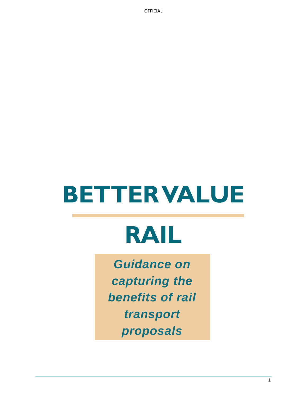# **BETTER VALUE**

# **RAIL**

*Guidance on capturing the benefits of rail transport proposals*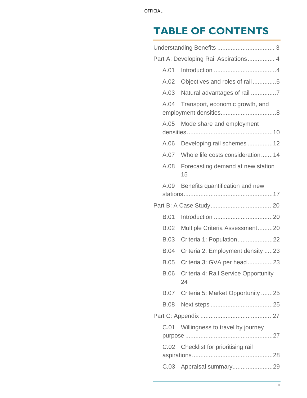## **TABLE OF CONTENTS**

| A.01        |                                 |                                                                                                                                                                                                                                                                                                                                                                                                                                                                                                          |
|-------------|---------------------------------|----------------------------------------------------------------------------------------------------------------------------------------------------------------------------------------------------------------------------------------------------------------------------------------------------------------------------------------------------------------------------------------------------------------------------------------------------------------------------------------------------------|
| A.02        |                                 |                                                                                                                                                                                                                                                                                                                                                                                                                                                                                                          |
| A.03        |                                 |                                                                                                                                                                                                                                                                                                                                                                                                                                                                                                          |
| A.04        | Transport, economic growth, and |                                                                                                                                                                                                                                                                                                                                                                                                                                                                                                          |
| A.05        | Mode share and employment       |                                                                                                                                                                                                                                                                                                                                                                                                                                                                                                          |
| A.06        |                                 |                                                                                                                                                                                                                                                                                                                                                                                                                                                                                                          |
| A.07        |                                 |                                                                                                                                                                                                                                                                                                                                                                                                                                                                                                          |
| A.08        | 15                              |                                                                                                                                                                                                                                                                                                                                                                                                                                                                                                          |
| A.09        | Benefits quantification and new |                                                                                                                                                                                                                                                                                                                                                                                                                                                                                                          |
|             |                                 |                                                                                                                                                                                                                                                                                                                                                                                                                                                                                                          |
| <b>B.01</b> |                                 |                                                                                                                                                                                                                                                                                                                                                                                                                                                                                                          |
| <b>B.02</b> |                                 |                                                                                                                                                                                                                                                                                                                                                                                                                                                                                                          |
| <b>B.03</b> |                                 |                                                                                                                                                                                                                                                                                                                                                                                                                                                                                                          |
| <b>B.04</b> |                                 |                                                                                                                                                                                                                                                                                                                                                                                                                                                                                                          |
| <b>B.05</b> |                                 |                                                                                                                                                                                                                                                                                                                                                                                                                                                                                                          |
| <b>B.06</b> | 24                              |                                                                                                                                                                                                                                                                                                                                                                                                                                                                                                          |
|             |                                 |                                                                                                                                                                                                                                                                                                                                                                                                                                                                                                          |
|             |                                 |                                                                                                                                                                                                                                                                                                                                                                                                                                                                                                          |
|             |                                 |                                                                                                                                                                                                                                                                                                                                                                                                                                                                                                          |
| C.01        |                                 |                                                                                                                                                                                                                                                                                                                                                                                                                                                                                                          |
|             |                                 |                                                                                                                                                                                                                                                                                                                                                                                                                                                                                                          |
|             |                                 |                                                                                                                                                                                                                                                                                                                                                                                                                                                                                                          |
|             |                                 | Part A: Developing Rail Aspirations 4<br>Objectives and roles of rail5<br>Developing rail schemes12<br>Whole life costs consideration14<br>Forecasting demand at new station<br>Multiple Criteria Assessment20<br>Criteria 1: Population22<br>Criteria 2: Employment density 23<br>Criteria 3: GVA per head 23<br>Criteria 4: Rail Service Opportunity<br>B.07 Criteria 5: Market Opportunity 25<br>Willingness to travel by journey<br>C.02 Checklist for prioritising rail<br>C.03 Appraisal summary29 |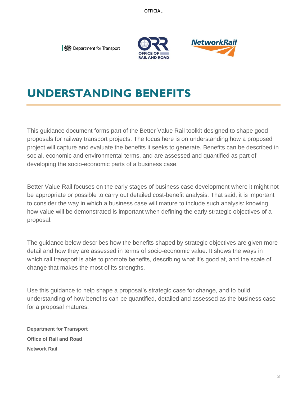**I** *‱* **Department for Transport** 





### <span id="page-2-0"></span>**UNDERSTANDING BENEFITS**

This guidance document forms part of the Better Value Rail toolkit designed to shape good proposals for railway transport projects. The focus here is on understanding how a proposed project will capture and evaluate the benefits it seeks to generate. Benefits can be described in social, economic and environmental terms, and are assessed and quantified as part of developing the socio-economic parts of a business case.

Better Value Rail focuses on the early stages of business case development where it might not be appropriate or possible to carry out detailed cost-benefit analysis. That said, it is important to consider the way in which a business case will mature to include such analysis: knowing how value will be demonstrated is important when defining the early strategic objectives of a proposal.

The guidance below describes how the benefits shaped by strategic objectives are given more detail and how they are assessed in terms of socio-economic value. It shows the ways in which rail transport is able to promote benefits, describing what it's good at, and the scale of change that makes the most of its strengths.

Use this guidance to help shape a proposal's strategic case for change, and to build understanding of how benefits can be quantified, detailed and assessed as the business case for a proposal matures.

**Department for Transport Office of Rail and Road Network Rail**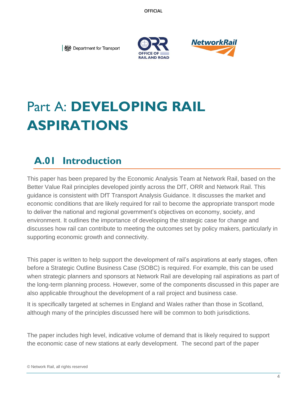



# <span id="page-3-0"></span>Part A: **DEVELOPING RAIL ASPIRATIONS**

## <span id="page-3-1"></span>**A.01 Introduction**

This paper has been prepared by the Economic Analysis Team at Network Rail, based on the Better Value Rail principles developed jointly across the DfT, ORR and Network Rail. This guidance is consistent with DfT Transport Analysis Guidance. It discusses the market and economic conditions that are likely required for rail to become the appropriate transport mode to deliver the national and regional government's objectives on economy, society, and environment. It outlines the importance of developing the strategic case for change and discusses how rail can contribute to meeting the outcomes set by policy makers, particularly in supporting economic growth and connectivity.

This paper is written to help support the development of rail's aspirations at early stages, often before a Strategic Outline Business Case (SOBC) is required. For example, this can be used when strategic planners and sponsors at Network Rail are developing rail aspirations as part of the long-term planning process. However, some of the components discussed in this paper are also applicable throughout the development of a rail project and business case.

It is specifically targeted at schemes in England and Wales rather than those in Scotland, although many of the principles discussed here will be common to both jurisdictions.

The paper includes high level, indicative volume of demand that is likely required to support the economic case of new stations at early development. The second part of the paper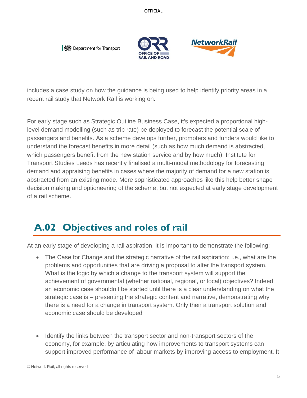



includes a case study on how the guidance is being used to help identify priority areas in a recent rail study that Network Rail is working on.

For early stage such as Strategic Outline Business Case, it's expected a proportional highlevel demand modelling (such as trip rate) be deployed to forecast the potential scale of passengers and benefits. As a scheme develops further, promoters and funders would like to understand the forecast benefits in more detail (such as how much demand is abstracted, which passengers benefit from the new station service and by how much). Institute for Transport Studies Leeds has recently finalised a multi-modal methodology for forecasting demand and appraising benefits in cases where the majority of demand for a new station is abstracted from an existing mode. More sophisticated approaches like this help better shape decision making and optioneering of the scheme, but not expected at early stage development of a rail scheme.

#### <span id="page-4-0"></span>**A.02 Objectives and roles of rail**

At an early stage of developing a rail aspiration, it is important to demonstrate the following:

- The Case for Change and the strategic narrative of the rail aspiration: i.e., what are the problems and opportunities that are driving a proposal to alter the transport system. What is the logic by which a change to the transport system will support the achievement of governmental (whether national, regional, or local) objectives? Indeed an economic case shouldn't be started until there is a clear understanding on what the strategic case is – presenting the strategic content and narrative, demonstrating why there is a need for a change in transport system. Only then a transport solution and economic case should be developed
- Identify the links between the transport sector and non-transport sectors of the economy, for example, by articulating how improvements to transport systems can support improved performance of labour markets by improving access to employment. It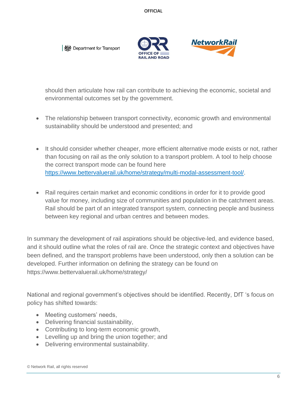



should then articulate how rail can contribute to achieving the economic, societal and environmental outcomes set by the government.

- The relationship between transport connectivity, economic growth and environmental sustainability should be understood and presented; and
- It should consider whether cheaper, more efficient alternative mode exists or not, rather than focusing on rail as the only solution to a transport problem. A tool to help choose the correct transport mode can be found here [https://www.bettervaluerail.uk/home/strategy/multi-modal-assessment-tool/.](https://www.bettervaluerail.uk/home/strategy/multi-modal-assessment-tool/)
- Rail requires certain market and economic conditions in order for it to provide good value for money, including size of communities and population in the catchment areas. Rail should be part of an integrated transport system, connecting people and business between key regional and urban centres and between modes.

In summary the development of rail aspirations should be objective-led, and evidence based, and it should outline what the roles of rail are. Once the strategic context and objectives have been defined, and the transport problems have been understood, only then a solution can be developed. Further information on defining the strategy can be found on https://www.bettervaluerail.uk/home/strategy/

National and regional government's objectives should be identified. Recently, DfT 's focus on policy has shifted towards:

- Meeting customers' needs,
- Delivering financial sustainability,
- Contributing to long-term economic growth,
- Levelling up and bring the union together; and
- Delivering environmental sustainability.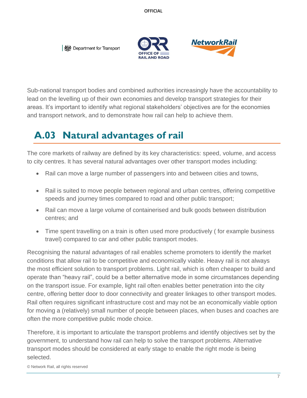



Sub-national transport bodies and combined authorities increasingly have the accountability to lead on the levelling up of their own economies and develop transport strategies for their areas. It's important to identify what regional stakeholders' objectives are for the economies and transport network, and to demonstrate how rail can help to achieve them.

#### <span id="page-6-0"></span>**A.03 Natural advantages of rail**

The core markets of railway are defined by its key characteristics: speed, volume, and access to city centres. It has several natural advantages over other transport modes including:

- Rail can move a large number of passengers into and between cities and towns,
- Rail is suited to move people between regional and urban centres, offering competitive speeds and journey times compared to road and other public transport;
- Rail can move a large volume of containerised and bulk goods between distribution centres; and
- Time spent travelling on a train is often used more productively (for example business travel) compared to car and other public transport modes.

Recognising the natural advantages of rail enables scheme promoters to identify the market conditions that allow rail to be competitive and economically viable. Heavy rail is not always the most efficient solution to transport problems. Light rail, which is often cheaper to build and operate than "heavy rail", could be a better alternative mode in some circumstances depending on the transport issue. For example, light rail often enables better penetration into the city centre, offering better door to door connectivity and greater linkages to other transport modes. Rail often requires significant infrastructure cost and may not be an economically viable option for moving a (relatively) small number of people between places, when buses and coaches are often the more competitive public mode choice.

Therefore, it is important to articulate the transport problems and identify objectives set by the government, to understand how rail can help to solve the transport problems. Alternative transport modes should be considered at early stage to enable the right mode is being selected.

© Network Rail, all rights reserved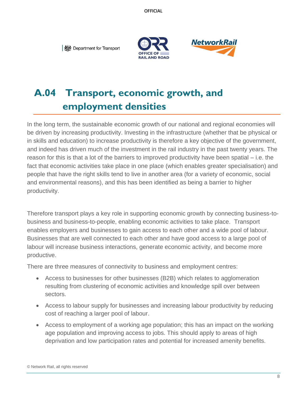



## <span id="page-7-0"></span>**A.04 Transport, economic growth, and employment densities**

In the long term, the sustainable economic growth of our national and regional economies will be driven by increasing productivity. Investing in the infrastructure (whether that be physical or in skills and education) to increase productivity is therefore a key objective of the government, and indeed has driven much of the investment in the rail industry in the past twenty years. The reason for this is that a lot of the barriers to improved productivity have been spatial – i.e. the fact that economic activities take place in one place (which enables greater specialisation) and people that have the right skills tend to live in another area (for a variety of economic, social and environmental reasons), and this has been identified as being a barrier to higher productivity.

Therefore transport plays a key role in supporting economic growth by connecting business-tobusiness and business-to-people, enabling economic activities to take place. Transport enables employers and businesses to gain access to each other and a wide pool of labour. Businesses that are well connected to each other and have good access to a large pool of labour will increase business interactions, generate economic activity, and become more productive.

There are three measures of connectivity to business and employment centres:

- Access to businesses for other businesses (B2B) which relates to agglomeration resulting from clustering of economic activities and knowledge spill over between sectors.
- Access to labour supply for businesses and increasing labour productivity by reducing cost of reaching a larger pool of labour.
- Access to employment of a working age population; this has an impact on the working age population and improving access to jobs. This should apply to areas of high deprivation and low participation rates and potential for increased amenity benefits.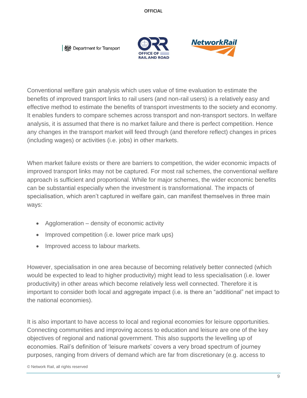



Conventional welfare gain analysis which uses value of time evaluation to estimate the benefits of improved transport links to rail users (and non-rail users) is a relatively easy and effective method to estimate the benefits of transport investments to the society and economy. It enables funders to compare schemes across transport and non-transport sectors. In welfare analysis, it is assumed that there is no market failure and there is perfect competition. Hence any changes in the transport market will feed through (and therefore reflect) changes in prices (including wages) or activities (i.e. jobs) in other markets.

When market failure exists or there are barriers to competition, the wider economic impacts of improved transport links may not be captured. For most rail schemes, the conventional welfare approach is sufficient and proportional. While for major schemes, the wider economic benefits can be substantial especially when the investment is transformational. The impacts of specialisation, which aren't captured in welfare gain, can manifest themselves in three main ways:

- Agglomeration density of economic activity
- Improved competition (i.e. lower price mark ups)
- Improved access to labour markets.

However, specialisation in one area because of becoming relatively better connected (which would be expected to lead to higher productivity) might lead to less specialisation (i.e. lower productivity) in other areas which become relatively less well connected. Therefore it is important to consider both local and aggregate impact (i.e. is there an "additional" net impact to the national economies).

It is also important to have access to local and regional economies for leisure opportunities. Connecting communities and improving access to education and leisure are one of the key objectives of regional and national government. This also supports the levelling up of economies. Rail's definition of 'leisure markets' covers a very broad spectrum of journey purposes, ranging from drivers of demand which are far from discretionary (e.g. access to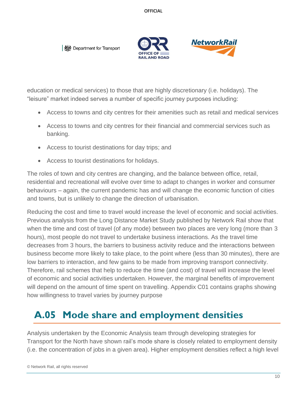



education or medical services) to those that are highly discretionary (i.e. holidays). The "leisure" market indeed serves a number of specific journey purposes including:

- Access to towns and city centres for their amenities such as retail and medical services
- Access to towns and city centres for their financial and commercial services such as banking.
- Access to tourist destinations for day trips; and
- Access to tourist destinations for holidays.

The roles of town and city centres are changing, and the balance between office, retail, residential and recreational will evolve over time to adapt to changes in worker and consumer behaviours – again, the current pandemic has and will change the economic function of cities and towns, but is unlikely to change the direction of urbanisation.

Reducing the cost and time to travel would increase the level of economic and social activities. Previous analysis from the Long Distance Market Study published by Network Rail show that when the time and cost of travel (of any mode) between two places are very long (more than 3 hours), most people do not travel to undertake business interactions. As the travel time decreases from 3 hours, the barriers to business activity reduce and the interactions between business become more likely to take place, to the point where (less than 30 minutes), there are low barriers to interaction, and few gains to be made from improving transport connectivity. Therefore, rail schemes that help to reduce the time (and cost) of travel will increase the level of economic and social activities undertaken. However, the marginal benefits of improvement will depend on the amount of time spent on travelling. Appendix C01 contains graphs showing how willingness to travel varies by journey purpose

## <span id="page-9-0"></span>**A.05 Mode share and employment densities**

Analysis undertaken by the Economic Analysis team through developing strategies for Transport for the North have shown rail's mode share is closely related to employment density (i.e. the concentration of jobs in a given area). Higher employment densities reflect a high level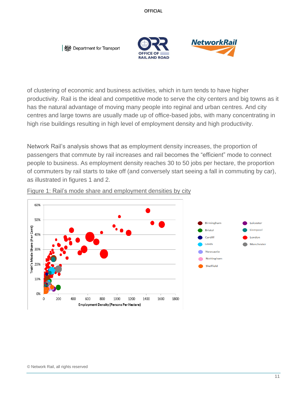



of clustering of economic and business activities, which in turn tends to have higher productivity. Rail is the ideal and competitive mode to serve the city centers and big towns as it has the natural advantage of moving many people into reginal and urban centres. And city centres and large towns are usually made up of office-based jobs, with many concentrating in high rise buildings resulting in high level of employment density and high productivity.

Network Rail's analysis shows that as employment density increases, the proportion of passengers that commute by rail increases and rail becomes the "efficient" mode to connect people to business. As employment density reaches 30 to 50 jobs per hectare, the proportion of commuters by rail starts to take off (and conversely start seeing a fall in commuting by car), as illustrated in figures 1 and 2.



Figure 1: Rail's mode share and employment densities by city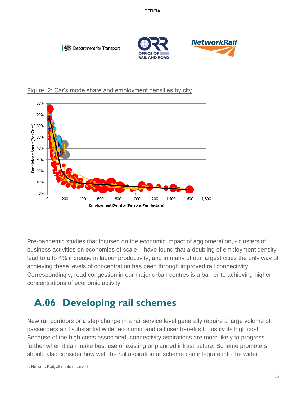



Figure 2: Car's mode share and employment densities by city

Pre-pandemic studies that focused on the economic impact of agglomeration, - clusters of business activities on economies of scale – have found that a doubling of employment density lead to a to 4% increase in labour productivity, and in many of our largest cities the only way of achieving these levels of concentration has been through improved rail connectivity. Correspondingly, road congestion in our major urban centres is a barrier to achieving higher concentrations of economic activity.

#### <span id="page-11-0"></span>**A.06 Developing rail schemes**

New rail corridors or a step change in a rail service level generally require a large volume of passengers and substantial wider economic and rail user benefits to justify its high cost. Because of the high costs associated, connectivity aspirations are more likely to progress further when it can make best use of existing or planned infrastructure. Scheme promoters should also consider how well the rail aspiration or scheme can integrate into the wider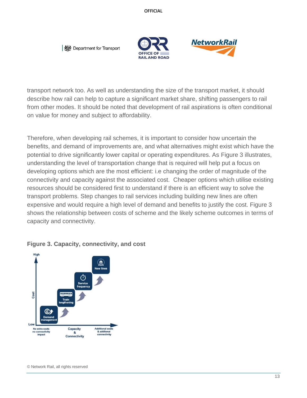Department for Transport





transport network too. As well as understanding the size of the transport market, it should describe how rail can help to capture a significant market share, shifting passengers to rail from other modes. It should be noted that development of rail aspirations is often conditional on value for money and subject to affordability.

Therefore, when developing rail schemes, it is important to consider how uncertain the benefits, and demand of improvements are, and what alternatives might exist which have the potential to drive significantly lower capital or operating expenditures. As Figure 3 illustrates, understanding the level of transportation change that is required will help put a focus on developing options which are the most efficient: i.e changing the order of magnitude of the connectivity and capacity against the associated cost. Cheaper options which utilise existing resources should be considered first to understand if there is an efficient way to solve the transport problems. Step changes to rail services including building new lines are often expensive and would require a high level of demand and benefits to justify the cost. Figure 3 shows the relationship between costs of scheme and the likely scheme outcomes in terms of capacity and connectivity.



#### **Figure 3. Capacity, connectivity, and cost**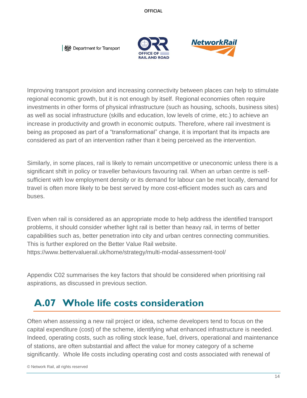**I** *‱* **Department for Transport** 





Improving transport provision and increasing connectivity between places can help to stimulate regional economic growth, but it is not enough by itself. Regional economies often require investments in other forms of physical infrastructure (such as housing, schools, business sites) as well as social infrastructure (skills and education, low levels of crime, etc.) to achieve an increase in productivity and growth in economic outputs. Therefore, where rail investment is being as proposed as part of a "transformational" change, it is important that its impacts are considered as part of an intervention rather than it being perceived as the intervention.

Similarly, in some places, rail is likely to remain uncompetitive or uneconomic unless there is a significant shift in policy or traveller behaviours favouring rail. When an urban centre is selfsufficient with low employment density or its demand for labour can be met locally, demand for travel is often more likely to be best served by more cost-efficient modes such as cars and buses.

Even when rail is considered as an appropriate mode to help address the identified transport problems, it should consider whether light rail is better than heavy rail, in terms of better capabilities such as, better penetration into city and urban centres connecting communities. This is further explored on the Better Value Rail website. https://www.bettervaluerail.uk/home/strategy/multi-modal-assessment-tool/

Appendix C02 summarises the key factors that should be considered when prioritising rail aspirations, as discussed in previous section.

#### <span id="page-13-0"></span>**A.07 Whole life costs consideration**

Often when assessing a new rail project or idea, scheme developers tend to focus on the capital expenditure (cost) of the scheme, identifying what enhanced infrastructure is needed. Indeed, operating costs, such as rolling stock lease, fuel, drivers, operational and maintenance of stations, are often substantial and affect the value for money category of a scheme significantly. Whole life costs including operating cost and costs associated with renewal of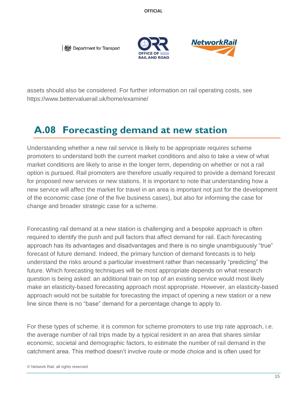



assets should also be considered. For further information on rail operating costs, see https://www.bettervaluerail.uk/home/examine/

#### <span id="page-14-0"></span>**A.08 Forecasting demand at new station**

Understanding whether a new rail service is likely to be appropriate requires scheme promoters to understand both the current market conditions and also to take a view of what market conditions are likely to arise in the longer term, depending on whether or not a rail option is pursued. Rail promoters are therefore usually required to provide a demand forecast for proposed new services or new stations. It is important to note that understanding how a new service will affect the market for travel in an area is important not just for the development of the economic case (one of the five business cases), but also for informing the case for change and broader strategic case for a scheme.

Forecasting rail demand at a new station is challenging and a bespoke approach is often required to identify the push and pull factors that affect demand for rail. Each forecasting approach has its advantages and disadvantages and there is no single unambiguously "true" forecast of future demand. Indeed, the primary function of demand forecasts is to help understand the risks around a particular investment rather than necessarily "predicting" the future. Which forecasting techniques will be most appropriate depends on what research question is being asked: an additional train on top of an existing service would most likely make an elasticity-based forecasting approach most appropriate. However, an elasticity-based approach would not be suitable for forecasting the impact of opening a new station or a new line since there is no "base" demand for a percentage change to apply to.

For these types of scheme. it is common for scheme promoters to use trip rate approach, i.e. the average number of rail trips made by a typical resident in an area that shares similar economic, societal and demographic factors, to estimate the number of rail demand in the catchment area. This method doesn't involve route or mode choice and is often used for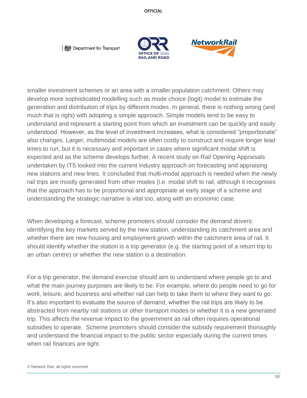



smaller investment schemes or an area with a smaller population catchment. Others may develop more sophisticated modelling such as mode choice (logit) model to estimate the generation and distribution of trips by different modes. In general, there is nothing wrong (and much that is right) with adopting a simple approach. Simple models tend to be easy to understand and represent a starting point from which an investment can be quickly and easily understood. However, as the level of investment increases, what is considered "proportionate" also changes. Larger, multimodal models are often costly to construct and require longer lead times to run, but it is necessary and important in cases where significant modal shift is expected and as the scheme develops further. A recent study on Rail Opening Appraisals undertaken by ITS looked into the current industry approach on forecasting and appraising new stations and new lines. It concluded that multi-modal approach is needed when the newly rail trips are mostly generated from other modes (i.e. modal shift to rail, although it recognises that the approach has to be proportional and appropriate at early stage of a scheme and understanding the strategic narrative is vital too, along with an economic case.

When developing a forecast, scheme promoters should consider the demand drivers: identifying the key markets served by the new station, understanding its catchment area and whether there are new housing and employment growth within the catchment area of rail. It should identify whether the station is a trip generator (e.g. the starting point of a return trip to an urban centre) or whether the new station is a destination.

For a trip generator, the demand exercise should aim to understand where people go to and what the main journey purposes are likely to be. For example, where do people need to go for work, leisure, and business and whether rail can help to take them to where they want to go. It's also important to evaluate the source of demand, whether the rail trips are likely to be abstracted from nearby rail stations or other transport modes or whether it is a new generated trip. This affects the revenue impact to the government as rail often requires operational subsidies to operate. Scheme promoters should consider the subsidy requirement thoroughly and understand the financial impact to the public sector especially during the current times when rail finances are tight.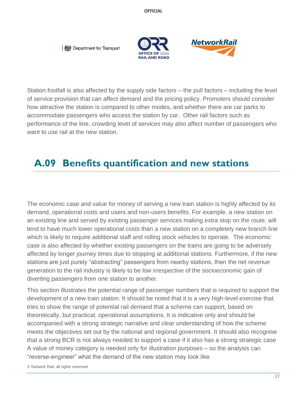



Station footfall is also affected by the supply side factors – the pull factors – including the level of service provision that can affect demand and the pricing policy. Promoters should consider how attractive the station is compared to other modes, and whether there are car parks to accommodate passengers who access the station by car. Other rail factors such as performance of the line, crowding level of services may also affect number of passengers who want to use rail at the new station.

#### <span id="page-16-0"></span>**A.09 Benefits quantification and new stations**

The economic case and value for money of serving a new train station is highly affected by its demand, operational costs and users and non-users benefits. For example, a new station on an existing line and served by existing passenger services making extra stop on the route, will tend to have much lower operational costs than a new station on a completely new branch line which is likely to require additional staff and rolling stock vehicles to operate. The economic case is also affected by whether existing passengers on the trains are going to be adversely affected by longer journey times due to stopping at additional stations. Furthermore, if the new stations are just purely "abstracting" passengers from nearby stations, then the net revenue generation to the rail industry is likely to be low irrespective of the socioeconomic gain of diverting passengers from one station to another.

This section illustrates the potential range of passenger numbers that is required to support the development of a new train station. It should be noted that it is a very high-level exercise that tries to show the range of potential rail demand that a scheme can support, based on theoretically, but practical, operational assumptions. It is indicative only and should be accompanied with a strong strategic narrative and clear understanding of how the scheme meets the objectives set out by the national and regional government. It should also recognise that a strong BCR is not always needed to support a case if it also has a strong strategic case A value of money category is needed only for illustration purposes – so the analysis can "reverse-engineer" what the demand of the new station may look like.

© Network Rail, all rights reserved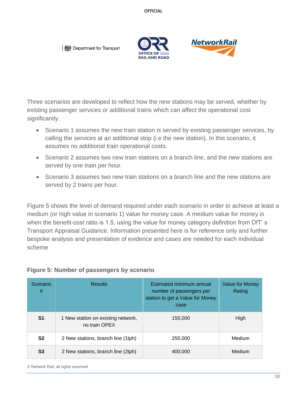Department for Transport





Three scenarios are developed to reflect how the new stations may be served, whether by existing passenger services or additional trains which can affect the operational cost significantly.

- Scenario 1 assumes the new train station is served by existing passenger services, by calling the services at an additional stop (i.e the new station). In this scenario, it assumes no additional train operational costs.
- Scenario 2 assumes two new train stations on a branch line, and the new stations are served by one train per hour.
- Scenario 3 assumes two new train stations on a branch line and the new stations are served by 2 trains per hour.

Figure 5 shows the level of demand required under each scenario in order to achieve at least a medium (or high value in scenario 1) value for money case. A medium value for money is when the benefit-cost ratio is 1.5, using the value for money category definition from DfT's Transport Appraisal Guidance. Information presented here is for reference only and further bespoke analysis and presentation of evidence and cases are needed for each individual scheme

| Scenario<br>#  | <b>Results</b>                                      | Estimated minimum annual<br>number of passengers per<br>station to get a Value for Money<br>case | <b>Value for Money</b><br>Rating |
|----------------|-----------------------------------------------------|--------------------------------------------------------------------------------------------------|----------------------------------|
| S <sub>1</sub> | 1 New station on existing network,<br>no train OPEX | 150.000                                                                                          | High                             |
| S <sub>2</sub> | 2 New stations, branch line (1tph)                  | 250,000                                                                                          | Medium                           |
| S3             | 2 New stations, branch line (2tph)                  | 400,000                                                                                          | Medium                           |

#### **Figure 5: Number of passengers by scenario**

© Network Rail, all rights reserved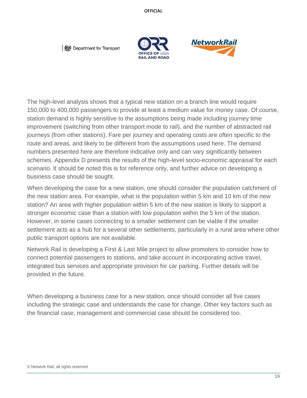Department for Transport





The high-level analysis shows that a typical new station on a branch line would require 150,000 to 400,000 passengers to provide at least a medium value for money case. Of course, station demand is highly sensitive to the assumptions being made including journey time improvement (switching from other transport mode to rail), and the number of abstracted rail journeys (from other stations). Fare per journey and operating costs are often specific to the route and areas, and likely to be different from the assumptions used here. The demand numbers presented here are therefore indicative only and can vary significantly between schemes. Appendix D presents the results of the high-level socio-economic appraisal for each scenario. It should be noted this is for reference only, and further advice on developing a business case should be sought.

When developing the case for a new station, one should consider the population catchment of the new station area. For example, what is the population within 5 km and 10 km of the new station? An area with higher population within 5 km of the new station is likely to support a stronger economic case than a station with low population within the 5 km of the station. However, in some cases connecting to a smaller settlement can be viable if the smaller settlement acts as a hub for a several other settlements, particularly in a rural area where other public transport options are not available.

Network Rail is developing a First & Last Mile project to allow promoters to consider how to connect potential passengers to stations, and take account in incorporating active travel, integrated bus services and appropriate provision for car parking. Further details will be provided in the future.

When developing a business case for a new station, once should consider all five cases including the strategic case and understands the case for change. Other key factors such as the financial case, management and commercial case should be considered too.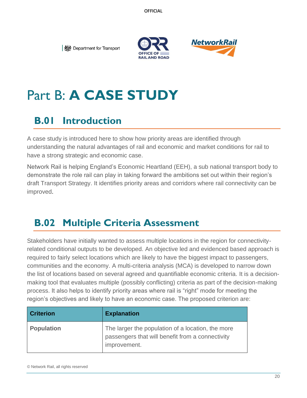



## <span id="page-19-0"></span>Part B: **A CASE STUDY**

#### <span id="page-19-1"></span>**B.01 Introduction**

A case study is introduced here to show how priority areas are identified through understanding the natural advantages of rail and economic and market conditions for rail to have a strong strategic and economic case.

Network Rail is helping England's Economic Heartland (EEH), a sub national transport body to demonstrate the role rail can play in taking forward the ambitions set out within their region's draft Transport Strategy. It identifies priority areas and corridors where rail connectivity can be improved.

#### <span id="page-19-2"></span>**B.02 Multiple Criteria Assessment**

Stakeholders have initially wanted to assess multiple locations in the region for connectivityrelated conditional outputs to be developed. An objective led and evidenced based approach is required to fairly select locations which are likely to have the biggest impact to passengers, communities and the economy. A multi-criteria analysis (MCA) is developed to narrow down the list of locations based on several agreed and quantifiable economic criteria. It is a decisionmaking tool that evaluates multiple (possibly conflicting) criteria as part of the decision-making process. It also helps to identify priority areas where rail is "right" mode for meeting the region's objectives and likely to have an economic case. The proposed criterion are:

| <b>Criterion</b>  | <b>Explanation</b>                                                                                                    |
|-------------------|-----------------------------------------------------------------------------------------------------------------------|
| <b>Population</b> | The larger the population of a location, the more<br>passengers that will benefit from a connectivity<br>improvement. |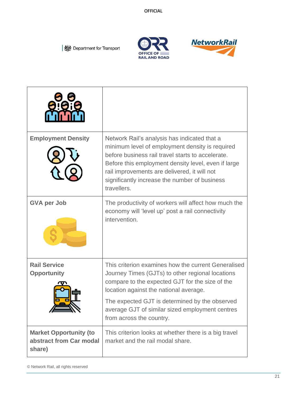





| 110 i                                                              |                                                                                                                                                                                                                                                                                                                                       |
|--------------------------------------------------------------------|---------------------------------------------------------------------------------------------------------------------------------------------------------------------------------------------------------------------------------------------------------------------------------------------------------------------------------------|
| <b>Employment Density</b>                                          | Network Rail's analysis has indicated that a<br>minimum level of employment density is required<br>before business rail travel starts to accelerate.<br>Before this employment density level, even if large<br>rail improvements are delivered, it will not<br>significantly increase the number of business<br>travellers.           |
| <b>GVA per Job</b>                                                 | The productivity of workers will affect how much the<br>economy will 'level up' post a rail connectivity<br>intervention.                                                                                                                                                                                                             |
| <b>Rail Service</b><br><b>Opportunity</b>                          | This criterion examines how the current Generalised<br>Journey Times (GJTs) to other regional locations<br>compare to the expected GJT for the size of the<br>location against the national average.<br>The expected GJT is determined by the observed<br>average GJT of similar sized employment centres<br>from across the country. |
| <b>Market Opportunity (to</b><br>abstract from Car modal<br>share) | This criterion looks at whether there is a big travel<br>market and the rail modal share.                                                                                                                                                                                                                                             |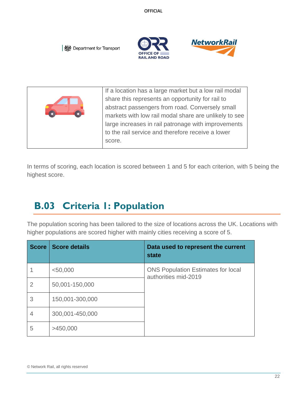



| If a location has a large market but a low rail modal |
|-------------------------------------------------------|
| share this represents an opportunity for rail to      |
| abstract passengers from road. Conversely small       |
| markets with low rail modal share are unlikely to see |
| large increases in rail patronage with improvements   |
| to the rail service and therefore receive a lower     |
| score.                                                |
|                                                       |

In terms of scoring, each location is scored between 1 and 5 for each criterion, with 5 being the highest score.

## <span id="page-21-0"></span>**B.03 Criteria 1: Population**

The population scoring has been tailored to the size of locations across the UK. Locations with higher populations are scored higher with mainly cities receiving a score of 5.

| <b>Score</b>   | <b>Score details</b> | Data used to represent the current<br>state                       |
|----------------|----------------------|-------------------------------------------------------------------|
|                | $<$ 50,000           | <b>ONS Population Estimates for local</b><br>authorities mid-2019 |
| $\overline{2}$ | 50,001-150,000       |                                                                   |
| 3              | 150,001-300,000      |                                                                   |
| 4              | 300,001-450,000      |                                                                   |
| 5              | >450,000             |                                                                   |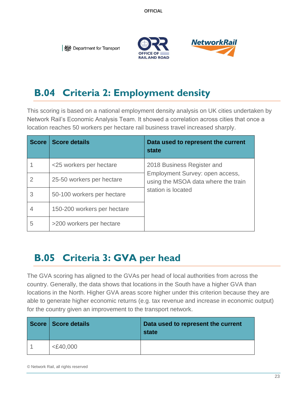



#### <span id="page-22-0"></span>**B.04 Criteria 2: Employment density**

This scoring is based on a national employment density analysis on UK cities undertaken by Network Rail's Economic Analysis Team. It showed a correlation across cities that once a location reaches 50 workers per hectare rail business travel increased sharply.

| <b>Score</b> | <b>Score details</b>        | Data used to represent the current<br>state                                                  |
|--------------|-----------------------------|----------------------------------------------------------------------------------------------|
|              | <25 workers per hectare     | 2018 Business Register and                                                                   |
|              | 25-50 workers per hectare   | Employment Survey: open access,<br>using the MSOA data where the train<br>station is located |
| 3            | 50-100 workers per hectare  |                                                                                              |
|              | 150-200 workers per hectare |                                                                                              |
| 5            | >200 workers per hectare    |                                                                                              |

#### <span id="page-22-1"></span>**B.05 Criteria 3: GVA per head**

The GVA scoring has aligned to the GVAs per head of local authorities from across the country. Generally, the data shows that locations in the South have a higher GVA than locations in the North. Higher GVA areas score higher under this criterion because they are able to generate higher economic returns (e.g. tax revenue and increase in economic output) for the country given an improvement to the transport network.

| Score   Score details | Data used to represent the current<br>state |
|-----------------------|---------------------------------------------|
| $<$ £40,000           |                                             |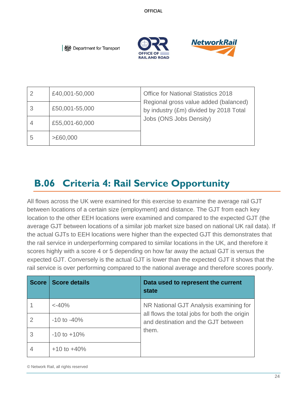**RAIL AND ROAD** 



**I** *‱* **Department for Transport** 

|   | £40,001-50,000 | <b>Office for National Statistics 2018</b>                                      |
|---|----------------|---------------------------------------------------------------------------------|
|   | £50,001-55,000 | Regional gross value added (balanced)<br>by industry (£m) divided by 2018 Total |
|   | £55,001-60,000 | Jobs (ONS Jobs Density)                                                         |
| 5 | >£60,000       |                                                                                 |

## <span id="page-23-0"></span>**B.06 Criteria 4: Rail Service Opportunity**

All flows across the UK were examined for this exercise to examine the average rail GJT between locations of a certain size (employment) and distance. The GJT from each key location to the other EEH locations were examined and compared to the expected GJT (the average GJT between locations of a similar job market size based on national UK rail data). If the actual GJTs to EEH locations were higher than the expected GJT this demonstrates that the rail service in underperforming compared to similar locations in the UK, and therefore it scores highly with a score 4 or 5 depending on how far away the actual GJT is versus the expected GJT. Conversely is the actual GJT is lower than the expected GJT it shows that the rail service is over performing compared to the national average and therefore scores poorly.

| <b>Score</b> | <b>Score details</b> | Data used to represent the current<br>state                                         |
|--------------|----------------------|-------------------------------------------------------------------------------------|
|              | $< -40\%$            | NR National GJT Analysis examining for                                              |
|              | $-10$ to $-40\%$     | all flows the total jobs for both the origin<br>and destination and the GJT between |
| 3            | $-10$ to $+10\%$     | them.                                                                               |
|              | $+10$ to $+40%$      |                                                                                     |

© Network Rail, all rights reserved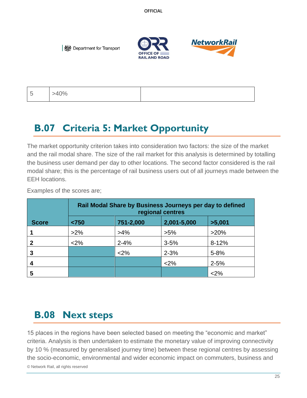



5 >40%

#### <span id="page-24-0"></span>**B.07 Criteria 5: Market Opportunity**

The market opportunity criterion takes into consideration two factors: the size of the market and the rail modal share. The size of the rail market for this analysis is determined by totalling the business user demand per day to other locations. The second factor considered is the rail modal share; this is the percentage of rail business users out of all journeys made between the EEH locations.

Examples of the scores are;

|              | Rail Modal Share by Business Journeys per day to defined<br>regional centres |           |             |           |
|--------------|------------------------------------------------------------------------------|-----------|-------------|-----------|
| <b>Score</b> | < 750                                                                        | 751-2,000 | 2,001-5,000 | >5,001    |
|              | $>2\%$                                                                       | $>4\%$    | $>5\%$      | $>20\%$   |
|              | <2%                                                                          | $2 - 4%$  | $3 - 5%$    | $8 - 12%$ |
| 3            |                                                                              | <2%       | $2 - 3%$    | $5 - 8%$  |
| 4            |                                                                              |           | <2%         | $2 - 5%$  |
| 5            |                                                                              |           |             | $2\%$     |

#### <span id="page-24-1"></span>**B.08 Next steps**

© Network Rail, all rights reserved 15 places in the regions have been selected based on meeting the "economic and market" criteria. Analysis is then undertaken to estimate the monetary value of improving connectivity by 10 % (measured by generalised journey time) between these regional centres by assessing the socio-economic, environmental and wider economic impact on commuters, business and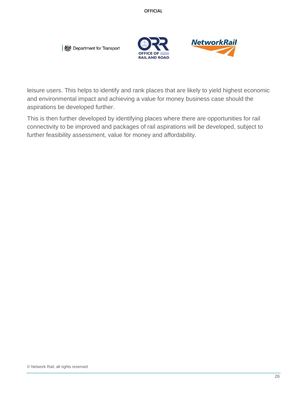



leisure users. This helps to identify and rank places that are likely to yield highest economic and environmental impact and achieving a value for money business case should the aspirations be developed further.

This is then further developed by identifying places where there are opportunities for rail connectivity to be improved and packages of rail aspirations will be developed, subject to further feasibility assessment, value for money and affordability.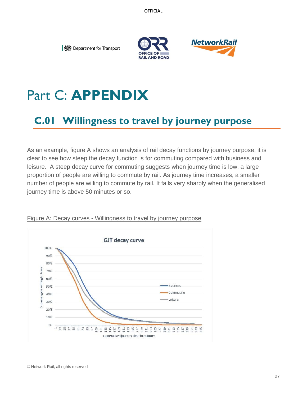



## <span id="page-26-0"></span>Part C: **APPENDIX**

#### <span id="page-26-1"></span>**C.01 Willingness to travel by journey purpose**

As an example, figure A shows an analysis of rail decay functions by journey purpose, it is clear to see how steep the decay function is for commuting compared with business and leisure. A steep decay curve for commuting suggests when journey time is low, a large proportion of people are willing to commute by rail. As journey time increases, a smaller number of people are willing to commute by rail. It falls very sharply when the generalised journey time is above 50 minutes or so.



#### Figure A: Decay curves - Willingness to travel by journey purpose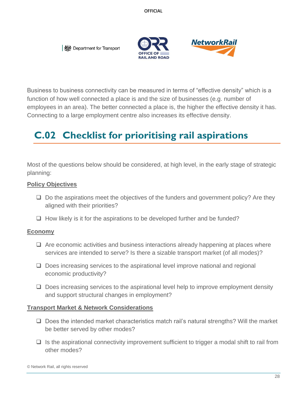



Business to business connectivity can be measured in terms of "effective density" which is a function of how well connected a place is and the size of businesses (e.g. number of employees in an area). The better connected a place is, the higher the effective density it has. Connecting to a large employment centre also increases its effective density.

#### <span id="page-27-0"></span>**C.02 Checklist for prioritising rail aspirations**

Most of the questions below should be considered, at high level, in the early stage of strategic planning:

#### **Policy Objectives**

- ❑ Do the aspirations meet the objectives of the funders and government policy? Are they aligned with their priorities?
- ❑ How likely is it for the aspirations to be developed further and be funded?

#### **Economy**

- ❑ Are economic activities and business interactions already happening at places where services are intended to serve? Is there a sizable transport market (of all modes)?
- ❑ Does increasing services to the aspirational level improve national and regional economic productivity?
- ❑ Does increasing services to the aspirational level help to improve employment density and support structural changes in employment?

#### **Transport Market & Network Considerations**

- ❑ Does the intended market characteristics match rail's natural strengths? Will the market be better served by other modes?
- $\Box$  Is the aspirational connectivity improvement sufficient to trigger a modal shift to rail from other modes?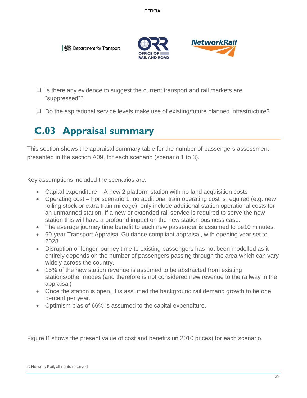



- $\Box$  Is there any evidence to suggest the current transport and rail markets are "suppressed"?
- ❑ Do the aspirational service levels make use of existing/future planned infrastructure?

## <span id="page-28-0"></span>**C.03 Appraisal summary**

This section shows the appraisal summary table for the number of passengers assessment presented in the section A09, for each scenario (scenario 1 to 3).

Key assumptions included the scenarios are:

- Capital expenditure A new 2 platform station with no land acquisition costs
- Operating cost For scenario 1, no additional train operating cost is required (e.g. new rolling stock or extra train mileage), only include additional station operational costs for an unmanned station. If a new or extended rail service is required to serve the new station this will have a profound impact on the new station business case.
- The average journey time benefit to each new passenger is assumed to be10 minutes.
- 60-year Transport Appraisal Guidance compliant appraisal, with opening year set to 2028
- Disruption or longer journey time to existing passengers has not been modelled as it entirely depends on the number of passengers passing through the area which can vary widely across the country.
- 15% of the new station revenue is assumed to be abstracted from existing stations/other modes (and therefore is not considered new revenue to the railway in the appraisal)
- Once the station is open, it is assumed the background rail demand growth to be one percent per year.
- Optimism bias of 66% is assumed to the capital expenditure.

Figure B shows the present value of cost and benefits (in 2010 prices) for each scenario.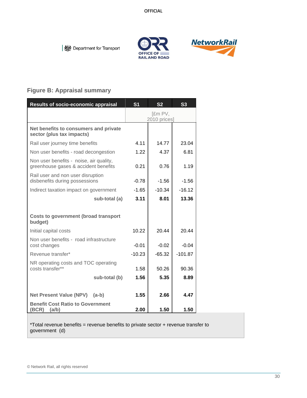**OFFICE OF RAIL AND ROAD** 



Department for Transport

#### **Figure B: Appraisal summary**

| Results of socio-economic appraisal                                             | S <sub>1</sub> | S <sub>2</sub>          | S <sub>3</sub> |  |
|---------------------------------------------------------------------------------|----------------|-------------------------|----------------|--|
|                                                                                 |                | [£m PV,<br>2010 prices] |                |  |
| Net benefits to consumers and private<br>sector (plus tax impacts)              |                |                         |                |  |
| Rail user journey time benefits                                                 | 4.11           | 14.77                   | 23.04          |  |
| Non user benefits - road decongestion                                           | 1.22           | 4.37                    | 6.81           |  |
| Non user benefits - noise, air quality,<br>greenhouse gases & accident benefits | 0.21           | 0.76                    | 1.19           |  |
| Rail user and non user disruption<br>disbenefits during possessions             | $-0.78$        | $-1.56$                 | $-1.56$        |  |
| Indirect taxation impact on government                                          | $-1.65$        | $-10.34$                | $-16.12$       |  |
| sub-total (a)                                                                   | 3.11           | 8.01                    | 13.36          |  |
| <b>Costs to government (broad transport</b><br>budget)                          |                |                         |                |  |
| Initial capital costs                                                           | 10.22          | 20.44                   | 20.44          |  |
| Non user benefits - road infrastructure<br>cost changes                         | $-0.01$        | $-0.02$                 | $-0.04$        |  |
| Revenue transfer*                                                               | $-10.23$       | $-65.32$                | $-101.87$      |  |
| NR operating costs and TOC operating<br>costs transfer**                        | 1.58           | 50.26                   | 90.36          |  |
| sub-total (b)                                                                   | 1.56           | 5.35                    | 8.89           |  |
|                                                                                 |                |                         |                |  |
| <b>Net Present Value (NPV)</b><br>$(a-b)$                                       | 1.55           | 2.66                    | 4.47           |  |
| <b>Benefit Cost Ratio to Government</b><br>(BCR)<br>(a/b)                       | 2.00           | 1.50                    | 1.50           |  |

\*Total revenue benefits = revenue benefits to private sector + revenue transfer to government (d)